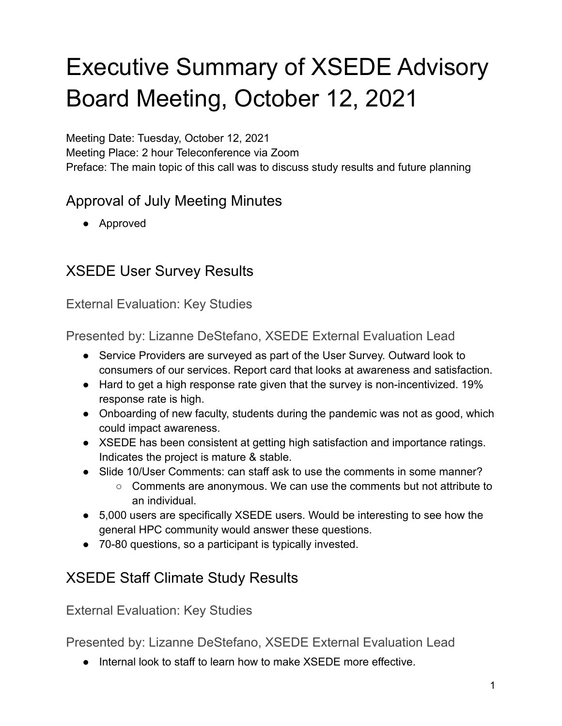# Executive Summary of XSEDE Advisory Board Meeting, October 12, 2021

Meeting Date: Tuesday, October 12, 2021 Meeting Place: 2 hour Teleconference via Zoom Preface: The main topic of this call was to discuss study results and future planning

#### Approval of July Meeting Minutes

● Approved

### XSEDE User Survey Results

External Evaluation: Key Studies

Presented by: Lizanne DeStefano, XSEDE External Evaluation Lead

- Service Providers are surveyed as part of the User Survey. Outward look to consumers of our services. Report card that looks at awareness and satisfaction.
- Hard to get a high response rate given that the survey is non-incentivized. 19% response rate is high.
- Onboarding of new faculty, students during the pandemic was not as good, which could impact awareness.
- XSEDE has been consistent at getting high satisfaction and importance ratings. Indicates the project is mature & stable.
- Slide 10/User Comments: can staff ask to use the comments in some manner?
	- $\circ$  Comments are anonymous. We can use the comments but not attribute to an individual.
- 5,000 users are specifically XSEDE users. Would be interesting to see how the general HPC community would answer these questions.
- 70-80 questions, so a participant is typically invested.

#### XSEDE Staff Climate Study Results

External Evaluation: Key Studies

Presented by: Lizanne DeStefano, XSEDE External Evaluation Lead

● Internal look to staff to learn how to make XSEDE more effective.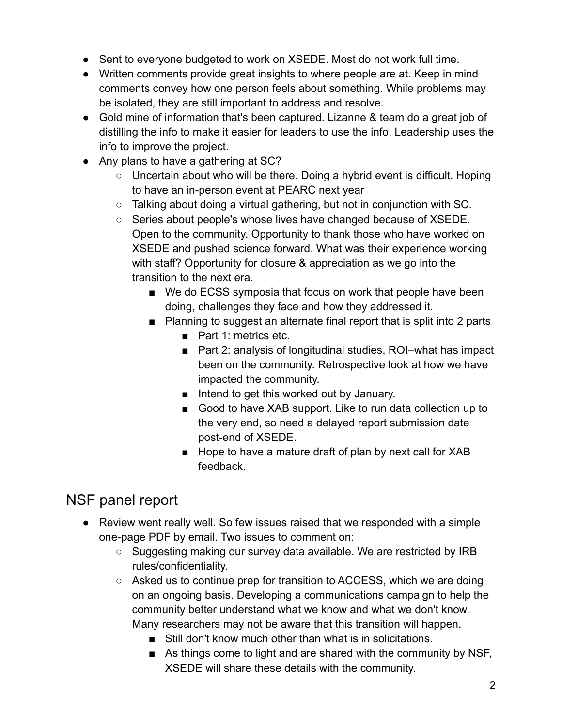- Sent to everyone budgeted to work on XSEDE. Most do not work full time.
- Written comments provide great insights to where people are at. Keep in mind comments convey how one person feels about something. While problems may be isolated, they are still important to address and resolve.
- Gold mine of information that's been captured. Lizanne & team do a great job of distilling the info to make it easier for leaders to use the info. Leadership uses the info to improve the project.
- Any plans to have a gathering at SC?
	- Uncertain about who will be there. Doing a hybrid event is difficult. Hoping to have an in-person event at PEARC next year
	- $\circ$  Talking about doing a virtual gathering, but not in conjunction with SC.
	- Series about people's whose lives have changed because of XSEDE. Open to the community. Opportunity to thank those who have worked on XSEDE and pushed science forward. What was their experience working with staff? Opportunity for closure & appreciation as we go into the transition to the next era.
		- We do ECSS symposia that focus on work that people have been doing, challenges they face and how they addressed it.
		- Planning to suggest an alternate final report that is split into 2 parts
			- Part 1: metrics etc.
			- Part 2: analysis of longitudinal studies, ROI–what has impact been on the community. Retrospective look at how we have impacted the community.
			- Intend to get this worked out by January.
			- Good to have XAB support. Like to run data collection up to the very end, so need a delayed report submission date post-end of XSEDE.
			- Hope to have a mature draft of plan by next call for XAB feedback.

## NSF panel report

- Review went really well. So few issues raised that we responded with a simple one-page PDF by email. Two issues to comment on:
	- Suggesting making our survey data available. We are restricted by IRB rules/confidentiality.
	- $\circ$  Asked us to continue prep for transition to ACCESS, which we are doing on an ongoing basis. Developing a communications campaign to help the community better understand what we know and what we don't know. Many researchers may not be aware that this transition will happen.
		- Still don't know much other than what is in solicitations.
		- As things come to light and are shared with the community by NSF, XSEDE will share these details with the community.